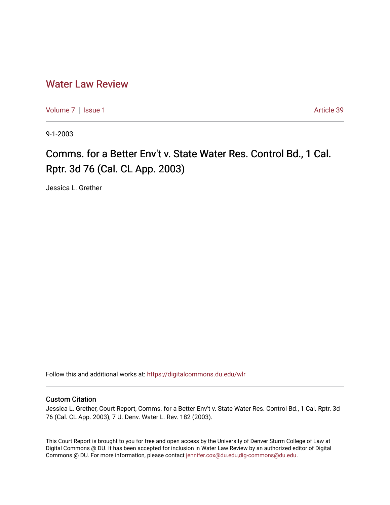## [Water Law Review](https://digitalcommons.du.edu/wlr)

[Volume 7](https://digitalcommons.du.edu/wlr/vol7) | [Issue 1](https://digitalcommons.du.edu/wlr/vol7/iss1) Article 39

9-1-2003

## Comms. for a Better Env't v. State Water Res. Control Bd., 1 Cal. Rptr. 3d 76 (Cal. CL App. 2003)

Jessica L. Grether

Follow this and additional works at: [https://digitalcommons.du.edu/wlr](https://digitalcommons.du.edu/wlr?utm_source=digitalcommons.du.edu%2Fwlr%2Fvol7%2Fiss1%2F39&utm_medium=PDF&utm_campaign=PDFCoverPages) 

## Custom Citation

Jessica L. Grether, Court Report, Comms. for a Better Env't v. State Water Res. Control Bd., 1 Cal. Rptr. 3d 76 (Cal. CL App. 2003), 7 U. Denv. Water L. Rev. 182 (2003).

This Court Report is brought to you for free and open access by the University of Denver Sturm College of Law at Digital Commons @ DU. It has been accepted for inclusion in Water Law Review by an authorized editor of Digital Commons @ DU. For more information, please contact [jennifer.cox@du.edu,dig-commons@du.edu.](mailto:jennifer.cox@du.edu,dig-commons@du.edu)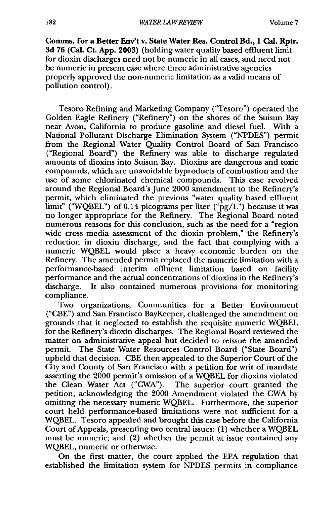**Comms. for a Better Env't v. State Water Res. Control Bd., 1 Cal. Rptr. 3d 76 (Cal. CL App. 2003)** (holding water quality based effluent limit for dioxin discharges need not be numeric in all cases, and need not be numeric in present case where three administrative agencies properly approved the non-numeric limitation as a valid means of pollution control).

Tesoro Refining and Marketing Company ("Tesoro") operated the Golden Eagle Refinery ("Refinery") on the shores of the Suisun Bay near Avon, California to produce gasoline and diesel fuel. With a National Pollutant Discharge Elimination System ("NPDES") permit from the Regional Water Quality Control Board of San Francisco ("Regional Board") the Refinery was able to discharge regulated amounts of dioxins into Suisun Bay. Dioxins are dangerous and toxic compounds, which are unavoidable byproducts of combustion and the use of some chlorinated chemical compounds. This case revolved around the Regional Board's June 2000 amendment to the Refinery's permit, which eliminated the previous "water quality based effluent limit" ("WQBEL") of 0.14 picograms per liter (" $pg/L$ ") because it was no longer appropriate for the Refinery. The Regional Board noted numerous reasons for this conclusion, such as the need for a "region wide cross media assessment of the dioxin problem," the Refinery's reduction in dioxin discharge, and the fact that complying with a numeric WQBEL would place a heavy economic burden on the Refinery. The amended permit replaced the numeric limitation with a performance-based interim effluent limitation based on facility performance and the actual concentrations of dioxins in the Refinery's discharge. It also contained numerous provisions for monitoring compliance.

Two organizations, Communities for a Better Environment ("CBE") and San Francisco BayKeeper, challenged the amendment on grounds that it neglected to establish the requisite numeric WQBEL for the Refinery's dioxin discharges. The Regional Board reviewed the matter on administrative appeal but decided to reissue the amended permit. The State Water Resources Control Board ('State Board") upheld that decision. CBE then appealed to the Superior Court of the City and County of San Francisco with a petition for writ of mandate asserting the 2000 permit's omission of a WQBEL for dioxins violated the Clean Water Act ("CWA"). The superior court granted the petition, acknowledging the 2000 Amendment violated the CWA by omitting the necessary numeric WQBEL. Furthermore, the superior court held performance-based limitations were not sufficient for a WQBEL. Tesoro appealed and brought this case before the California Court of Appeals, presenting two central issues: (1) whether a WQBEL must be numeric; and (2) whether the permit at issue contained any WQBEL, numeric or otherwise.

On the first matter, the court applied the EPA regulation that established the limitation system for NPDES permits in compliance